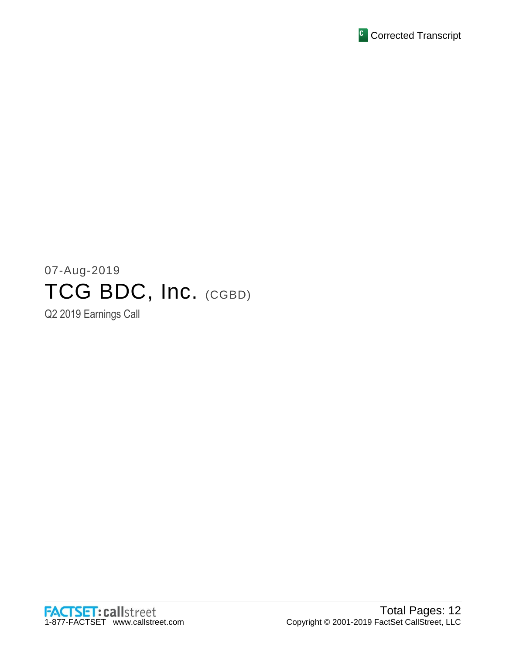

# 07-Aug-2019 TCG BDC, Inc. (CGBD)

Q2 2019 Earnings Call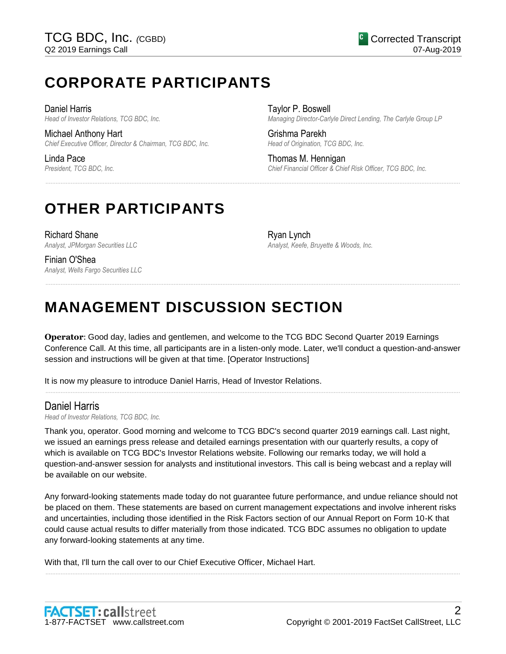# **CORPORATE PARTICIPANTS**

Daniel Harris *Head of Investor Relations, TCG BDC, Inc.*

Michael Anthony Hart *Chief Executive Officer, Director & Chairman, TCG BDC, Inc.*

Linda Pace *President, TCG BDC, Inc.* Taylor P. Boswell *Managing Director-Carlyle Direct Lending, The Carlyle Group LP*

Grishma Parekh *Head of Origination, TCG BDC, Inc.*

Thomas M. Hennigan *Chief Financial Officer & Chief Risk Officer, TCG BDC, Inc.*

# **OTHER PARTICIPANTS**

Richard Shane *Analyst, JPMorgan Securities LLC*

Finian O'Shea *Analyst, Wells Fargo Securities LLC*

Ryan Lynch *Analyst, Keefe, Bruyette & Woods, Inc.*

# **MANAGEMENT DISCUSSION SECTION**

**Operator**: Good day, ladies and gentlemen, and welcome to the TCG BDC Second Quarter 2019 Earnings Conference Call. At this time, all participants are in a listen-only mode. Later, we'll conduct a question-and-answer session and instructions will be given at that time. [Operator Instructions]

......................................................................................................................................................................................................................................................

......................................................................................................................................................................................................................................................

......................................................................................................................................................................................................................................................

It is now my pleasure to introduce Daniel Harris, Head of Investor Relations.

# Daniel Harris

*Head of Investor Relations, TCG BDC, Inc.*

Thank you, operator. Good morning and welcome to TCG BDC's second quarter 2019 earnings call. Last night, we issued an earnings press release and detailed earnings presentation with our quarterly results, a copy of which is available on TCG BDC's Investor Relations website. Following our remarks today, we will hold a question-and-answer session for analysts and institutional investors. This call is being webcast and a replay will be available on our website.

Any forward-looking statements made today do not guarantee future performance, and undue reliance should not be placed on them. These statements are based on current management expectations and involve inherent risks and uncertainties, including those identified in the Risk Factors section of our Annual Report on Form 10-K that could cause actual results to differ materially from those indicated. TCG BDC assumes no obligation to update any forward-looking statements at any time.

......................................................................................................................................................................................................................................................

With that, I'll turn the call over to our Chief Executive Officer, Michael Hart.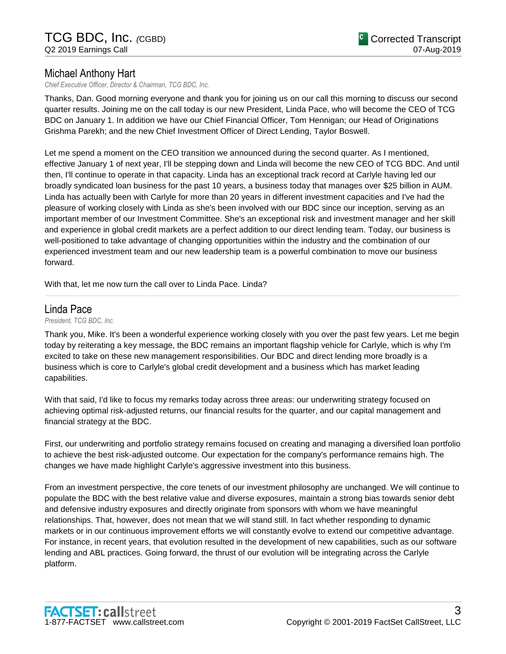# Michael Anthony Hart

*Chief Executive Officer, Director & Chairman, TCG BDC, Inc.*

Thanks, Dan. Good morning everyone and thank you for joining us on our call this morning to discuss our second quarter results. Joining me on the call today is our new President, Linda Pace, who will become the CEO of TCG BDC on January 1. In addition we have our Chief Financial Officer, Tom Hennigan; our Head of Originations Grishma Parekh; and the new Chief Investment Officer of Direct Lending, Taylor Boswell.

Let me spend a moment on the CEO transition we announced during the second quarter. As I mentioned, effective January 1 of next year, I'll be stepping down and Linda will become the new CEO of TCG BDC. And until then, I'll continue to operate in that capacity. Linda has an exceptional track record at Carlyle having led our broadly syndicated loan business for the past 10 years, a business today that manages over \$25 billion in AUM. Linda has actually been with Carlyle for more than 20 years in different investment capacities and I've had the pleasure of working closely with Linda as she's been involved with our BDC since our inception, serving as an important member of our Investment Committee. She's an exceptional risk and investment manager and her skill and experience in global credit markets are a perfect addition to our direct lending team. Today, our business is well-positioned to take advantage of changing opportunities within the industry and the combination of our experienced investment team and our new leadership team is a powerful combination to move our business forward.

With that, let me now turn the call over to Linda Pace. Linda?

# Linda Pace

*President, TCG BDC, Inc.*

Thank you, Mike. It's been a wonderful experience working closely with you over the past few years. Let me begin today by reiterating a key message, the BDC remains an important flagship vehicle for Carlyle, which is why I'm excited to take on these new management responsibilities. Our BDC and direct lending more broadly is a business which is core to Carlyle's global credit development and a business which has market leading capabilities.

......................................................................................................................................................................................................................................................

With that said, I'd like to focus my remarks today across three areas: our underwriting strategy focused on achieving optimal risk-adjusted returns, our financial results for the quarter, and our capital management and financial strategy at the BDC.

First, our underwriting and portfolio strategy remains focused on creating and managing a diversified loan portfolio to achieve the best risk-adjusted outcome. Our expectation for the company's performance remains high. The changes we have made highlight Carlyle's aggressive investment into this business.

From an investment perspective, the core tenets of our investment philosophy are unchanged. We will continue to populate the BDC with the best relative value and diverse exposures, maintain a strong bias towards senior debt and defensive industry exposures and directly originate from sponsors with whom we have meaningful relationships. That, however, does not mean that we will stand still. In fact whether responding to dynamic markets or in our continuous improvement efforts we will constantly evolve to extend our competitive advantage. For instance, in recent years, that evolution resulted in the development of new capabilities, such as our software lending and ABL practices. Going forward, the thrust of our evolution will be integrating across the Carlyle platform.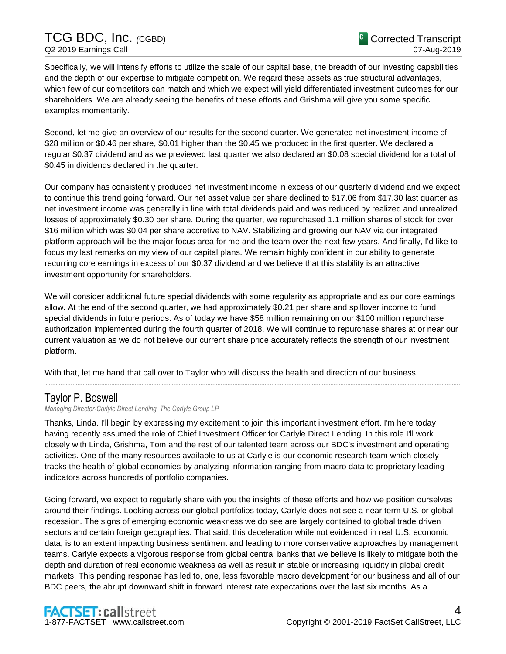# TCG BDC, Inc. *(*CGBD) Q2 2019 Earnings Call

Specifically, we will intensify efforts to utilize the scale of our capital base, the breadth of our investing capabilities and the depth of our expertise to mitigate competition. We regard these assets as true structural advantages, which few of our competitors can match and which we expect will yield differentiated investment outcomes for our shareholders. We are already seeing the benefits of these efforts and Grishma will give you some specific examples momentarily.

Second, let me give an overview of our results for the second quarter. We generated net investment income of \$28 million or \$0.46 per share, \$0.01 higher than the \$0.45 we produced in the first quarter. We declared a regular \$0.37 dividend and as we previewed last quarter we also declared an \$0.08 special dividend for a total of \$0.45 in dividends declared in the quarter.

Our company has consistently produced net investment income in excess of our quarterly dividend and we expect to continue this trend going forward. Our net asset value per share declined to \$17.06 from \$17.30 last quarter as net investment income was generally in line with total dividends paid and was reduced by realized and unrealized losses of approximately \$0.30 per share. During the quarter, we repurchased 1.1 million shares of stock for over \$16 million which was \$0.04 per share accretive to NAV. Stabilizing and growing our NAV via our integrated platform approach will be the major focus area for me and the team over the next few years. And finally, I'd like to focus my last remarks on my view of our capital plans. We remain highly confident in our ability to generate recurring core earnings in excess of our \$0.37 dividend and we believe that this stability is an attractive investment opportunity for shareholders.

We will consider additional future special dividends with some regularity as appropriate and as our core earnings allow. At the end of the second quarter, we had approximately \$0.21 per share and spillover income to fund special dividends in future periods. As of today we have \$58 million remaining on our \$100 million repurchase authorization implemented during the fourth quarter of 2018. We will continue to repurchase shares at or near our current valuation as we do not believe our current share price accurately reflects the strength of our investment platform.

......................................................................................................................................................................................................................................................

With that, let me hand that call over to Taylor who will discuss the health and direction of our business.

# Taylor P. Boswell

*Managing Director-Carlyle Direct Lending, The Carlyle Group LP*

Thanks, Linda. I'll begin by expressing my excitement to join this important investment effort. I'm here today having recently assumed the role of Chief Investment Officer for Carlyle Direct Lending. In this role I'll work closely with Linda, Grishma, Tom and the rest of our talented team across our BDC's investment and operating activities. One of the many resources available to us at Carlyle is our economic research team which closely tracks the health of global economies by analyzing information ranging from macro data to proprietary leading indicators across hundreds of portfolio companies.

Going forward, we expect to regularly share with you the insights of these efforts and how we position ourselves around their findings. Looking across our global portfolios today, Carlyle does not see a near term U.S. or global recession. The signs of emerging economic weakness we do see are largely contained to global trade driven sectors and certain foreign geographies. That said, this deceleration while not evidenced in real U.S. economic data, is to an extent impacting business sentiment and leading to more conservative approaches by management teams. Carlyle expects a vigorous response from global central banks that we believe is likely to mitigate both the depth and duration of real economic weakness as well as result in stable or increasing liquidity in global credit markets. This pending response has led to, one, less favorable macro development for our business and all of our BDC peers, the abrupt downward shift in forward interest rate expectations over the last six months. As a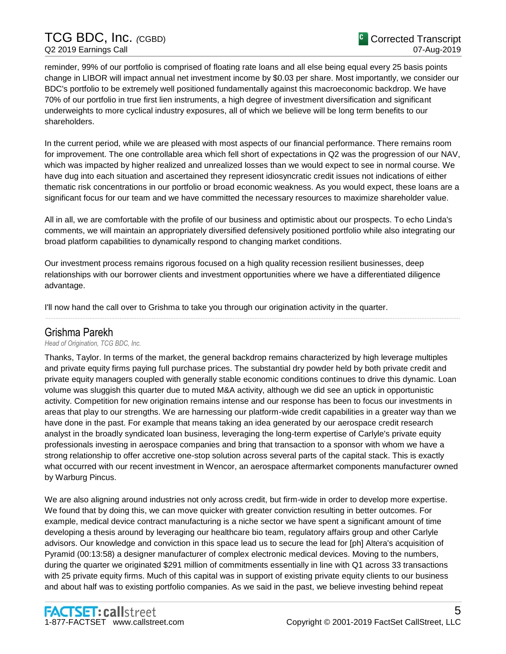TCG BDC, Inc. *(*CGBD) Q2 2019 Earnings Call

reminder, 99% of our portfolio is comprised of floating rate loans and all else being equal every 25 basis points change in LIBOR will impact annual net investment income by \$0.03 per share. Most importantly, we consider our BDC's portfolio to be extremely well positioned fundamentally against this macroeconomic backdrop. We have 70% of our portfolio in true first lien instruments, a high degree of investment diversification and significant underweights to more cyclical industry exposures, all of which we believe will be long term benefits to our shareholders.

In the current period, while we are pleased with most aspects of our financial performance. There remains room for improvement. The one controllable area which fell short of expectations in Q2 was the progression of our NAV, which was impacted by higher realized and unrealized losses than we would expect to see in normal course. We have dug into each situation and ascertained they represent idiosyncratic credit issues not indications of either thematic risk concentrations in our portfolio or broad economic weakness. As you would expect, these loans are a significant focus for our team and we have committed the necessary resources to maximize shareholder value.

All in all, we are comfortable with the profile of our business and optimistic about our prospects. To echo Linda's comments, we will maintain an appropriately diversified defensively positioned portfolio while also integrating our broad platform capabilities to dynamically respond to changing market conditions.

Our investment process remains rigorous focused on a high quality recession resilient businesses, deep relationships with our borrower clients and investment opportunities where we have a differentiated diligence advantage.

......................................................................................................................................................................................................................................................

I'll now hand the call over to Grishma to take you through our origination activity in the quarter.

# Grishma Parekh

*Head of Origination, TCG BDC, Inc.*

Thanks, Taylor. In terms of the market, the general backdrop remains characterized by high leverage multiples and private equity firms paying full purchase prices. The substantial dry powder held by both private credit and private equity managers coupled with generally stable economic conditions continues to drive this dynamic. Loan volume was sluggish this quarter due to muted M&A activity, although we did see an uptick in opportunistic activity. Competition for new origination remains intense and our response has been to focus our investments in areas that play to our strengths. We are harnessing our platform-wide credit capabilities in a greater way than we have done in the past. For example that means taking an idea generated by our aerospace credit research analyst in the broadly syndicated loan business, leveraging the long-term expertise of Carlyle's private equity professionals investing in aerospace companies and bring that transaction to a sponsor with whom we have a strong relationship to offer accretive one-stop solution across several parts of the capital stack. This is exactly what occurred with our recent investment in Wencor, an aerospace aftermarket components manufacturer owned by Warburg Pincus.

We are also aligning around industries not only across credit, but firm-wide in order to develop more expertise. We found that by doing this, we can move quicker with greater conviction resulting in better outcomes. For example, medical device contract manufacturing is a niche sector we have spent a significant amount of time developing a thesis around by leveraging our healthcare bio team, regulatory affairs group and other Carlyle advisors. Our knowledge and conviction in this space lead us to secure the lead for [ph] Altera's acquisition of Pyramid (00:13:58) a designer manufacturer of complex electronic medical devices. Moving to the numbers, during the quarter we originated \$291 million of commitments essentially in line with Q1 across 33 transactions with 25 private equity firms. Much of this capital was in support of existing private equity clients to our business and about half was to existing portfolio companies. As we said in the past, we believe investing behind repeat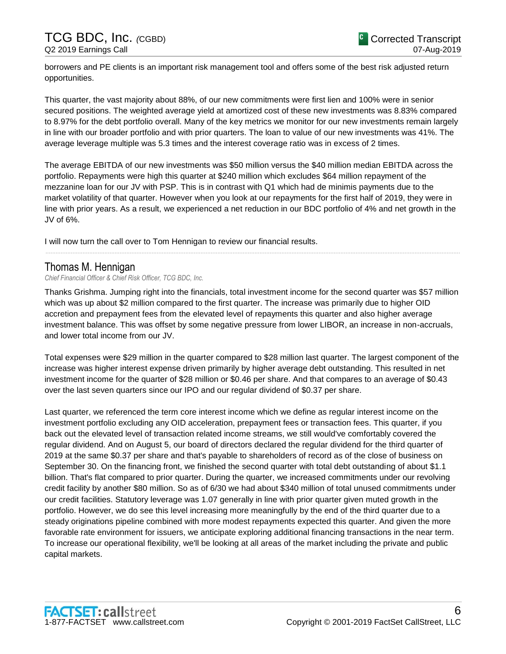borrowers and PE clients is an important risk management tool and offers some of the best risk adjusted return opportunities.

This quarter, the vast majority about 88%, of our new commitments were first lien and 100% were in senior secured positions. The weighted average yield at amortized cost of these new investments was 8.83% compared to 8.97% for the debt portfolio overall. Many of the key metrics we monitor for our new investments remain largely in line with our broader portfolio and with prior quarters. The loan to value of our new investments was 41%. The average leverage multiple was 5.3 times and the interest coverage ratio was in excess of 2 times.

The average EBITDA of our new investments was \$50 million versus the \$40 million median EBITDA across the portfolio. Repayments were high this quarter at \$240 million which excludes \$64 million repayment of the mezzanine loan for our JV with PSP. This is in contrast with Q1 which had de minimis payments due to the market volatility of that quarter. However when you look at our repayments for the first half of 2019, they were in line with prior years. As a result, we experienced a net reduction in our BDC portfolio of 4% and net growth in the JV of 6%.

I will now turn the call over to Tom Hennigan to review our financial results.

# Thomas M. Hennigan

*Chief Financial Officer & Chief Risk Officer, TCG BDC, Inc.*

Thanks Grishma. Jumping right into the financials, total investment income for the second quarter was \$57 million which was up about \$2 million compared to the first quarter. The increase was primarily due to higher OID accretion and prepayment fees from the elevated level of repayments this quarter and also higher average investment balance. This was offset by some negative pressure from lower LIBOR, an increase in non-accruals, and lower total income from our JV.

......................................................................................................................................................................................................................................................

Total expenses were \$29 million in the quarter compared to \$28 million last quarter. The largest component of the increase was higher interest expense driven primarily by higher average debt outstanding. This resulted in net investment income for the quarter of \$28 million or \$0.46 per share. And that compares to an average of \$0.43 over the last seven quarters since our IPO and our regular dividend of \$0.37 per share.

Last quarter, we referenced the term core interest income which we define as regular interest income on the investment portfolio excluding any OID acceleration, prepayment fees or transaction fees. This quarter, if you back out the elevated level of transaction related income streams, we still would've comfortably covered the regular dividend. And on August 5, our board of directors declared the regular dividend for the third quarter of 2019 at the same \$0.37 per share and that's payable to shareholders of record as of the close of business on September 30. On the financing front, we finished the second quarter with total debt outstanding of about \$1.1 billion. That's flat compared to prior quarter. During the quarter, we increased commitments under our revolving credit facility by another \$80 million. So as of 6/30 we had about \$340 million of total unused commitments under our credit facilities. Statutory leverage was 1.07 generally in line with prior quarter given muted growth in the portfolio. However, we do see this level increasing more meaningfully by the end of the third quarter due to a steady originations pipeline combined with more modest repayments expected this quarter. And given the more favorable rate environment for issuers, we anticipate exploring additional financing transactions in the near term. To increase our operational flexibility, we'll be looking at all areas of the market including the private and public capital markets.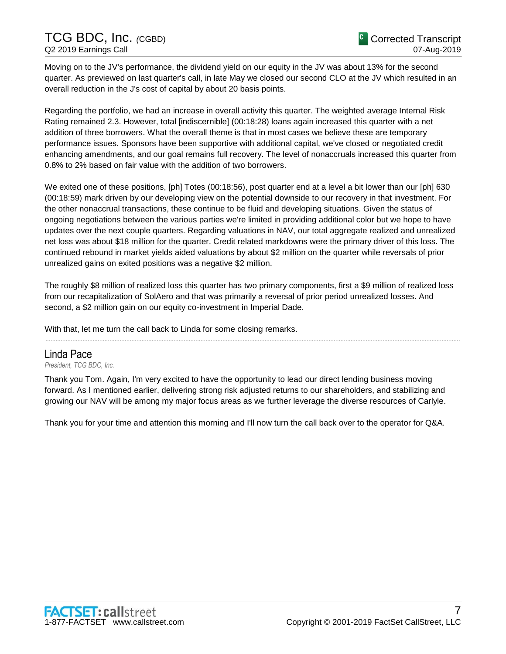Moving on to the JV's performance, the dividend yield on our equity in the JV was about 13% for the second quarter. As previewed on last quarter's call, in late May we closed our second CLO at the JV which resulted in an overall reduction in the J's cost of capital by about 20 basis points.

Regarding the portfolio, we had an increase in overall activity this quarter. The weighted average Internal Risk Rating remained 2.3. However, total [indiscernible] (00:18:28) loans again increased this quarter with a net addition of three borrowers. What the overall theme is that in most cases we believe these are temporary performance issues. Sponsors have been supportive with additional capital, we've closed or negotiated credit enhancing amendments, and our goal remains full recovery. The level of nonaccruals increased this quarter from 0.8% to 2% based on fair value with the addition of two borrowers.

We exited one of these positions, [ph] Totes (00:18:56), post quarter end at a level a bit lower than our [ph] 630 (00:18:59) mark driven by our developing view on the potential downside to our recovery in that investment. For the other nonaccrual transactions, these continue to be fluid and developing situations. Given the status of ongoing negotiations between the various parties we're limited in providing additional color but we hope to have updates over the next couple quarters. Regarding valuations in NAV, our total aggregate realized and unrealized net loss was about \$18 million for the quarter. Credit related markdowns were the primary driver of this loss. The continued rebound in market yields aided valuations by about \$2 million on the quarter while reversals of prior unrealized gains on exited positions was a negative \$2 million.

The roughly \$8 million of realized loss this quarter has two primary components, first a \$9 million of realized loss from our recapitalization of SolAero and that was primarily a reversal of prior period unrealized losses. And second, a \$2 million gain on our equity co-investment in Imperial Dade.

......................................................................................................................................................................................................................................................

With that, let me turn the call back to Linda for some closing remarks.

### Linda Pace

*President, TCG BDC, Inc.*

Thank you Tom. Again, I'm very excited to have the opportunity to lead our direct lending business moving forward. As I mentioned earlier, delivering strong risk adjusted returns to our shareholders, and stabilizing and growing our NAV will be among my major focus areas as we further leverage the diverse resources of Carlyle.

Thank you for your time and attention this morning and I'll now turn the call back over to the operator for Q&A.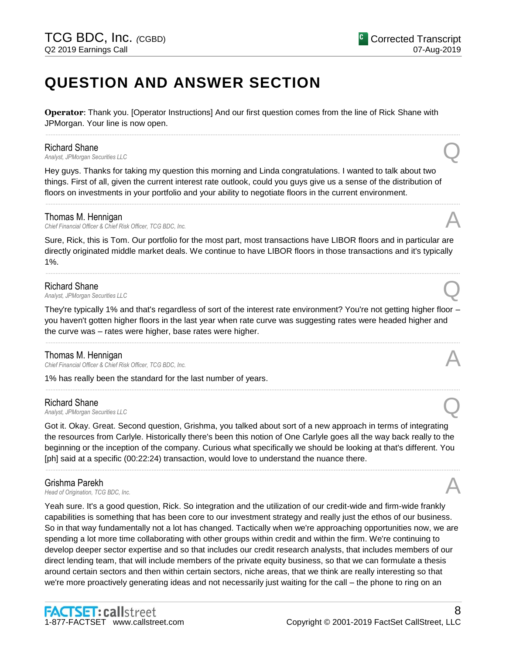# **QUESTION AND ANSWER SECTION**

**Operator**: Thank you. [Operator Instructions] And our first question comes from the line of Rick Shane with JPMorgan. Your line is now open.

......................................................................................................................................................................................................................................................

#### Richard Shane

*Analyst, JPMorgan Securities LLC* Q

Hey guys. Thanks for taking my question this morning and Linda congratulations. I wanted to talk about two things. First of all, given the current interest rate outlook, could you guys give us a sense of the distribution of floors on investments in your portfolio and your ability to negotiate floors in the current environment.

#### Thomas M. Hennigan

**Chief Financial Officer & Chief Risk Officer, TCG BDC, Inc.** 

Sure, Rick, this is Tom. Our portfolio for the most part, most transactions have LIBOR floors and in particular are directly originated middle market deals. We continue to have LIBOR floors in those transactions and it's typically 1%.

......................................................................................................................................................................................................................................................

......................................................................................................................................................................................................................................................

#### Richard Shane

*Analyst, JPMorgan Securities LLC* Q

They're typically 1% and that's regardless of sort of the interest rate environment? You're not getting higher floor – you haven't gotten higher floors in the last year when rate curve was suggesting rates were headed higher and the curve was – rates were higher, base rates were higher.

......................................................................................................................................................................................................................................................

......................................................................................................................................................................................................................................................

#### Thomas M. Hennigan

*Chief Financial Officer & Chief Risk Officer, TCG BDC, Inc.* A

1% has really been the standard for the last number of years.

#### Richard Shane

*Analyst, JPMorgan Securities LLC* Q

Got it. Okay. Great. Second question, Grishma, you talked about sort of a new approach in terms of integrating the resources from Carlyle. Historically there's been this notion of One Carlyle goes all the way back really to the beginning or the inception of the company. Curious what specifically we should be looking at that's different. You [ph] said at a specific (00:22:24) transaction, would love to understand the nuance there.

......................................................................................................................................................................................................................................................

### Grishma Parekh

**Grishma Parekh**<br>*Head of Origination, TCG BDC, Inc.* And *Head of Origination, TCG BDC, Inc.* 

Yeah sure. It's a good question, Rick. So integration and the utilization of our credit-wide and firm-wide frankly capabilities is something that has been core to our investment strategy and really just the ethos of our business. So in that way fundamentally not a lot has changed. Tactically when we're approaching opportunities now, we are spending a lot more time collaborating with other groups within credit and within the firm. We're continuing to develop deeper sector expertise and so that includes our credit research analysts, that includes members of our direct lending team, that will include members of the private equity business, so that we can formulate a thesis around certain sectors and then within certain sectors, niche areas, that we think are really interesting so that we're more proactively generating ideas and not necessarily just waiting for the call – the phone to ring on an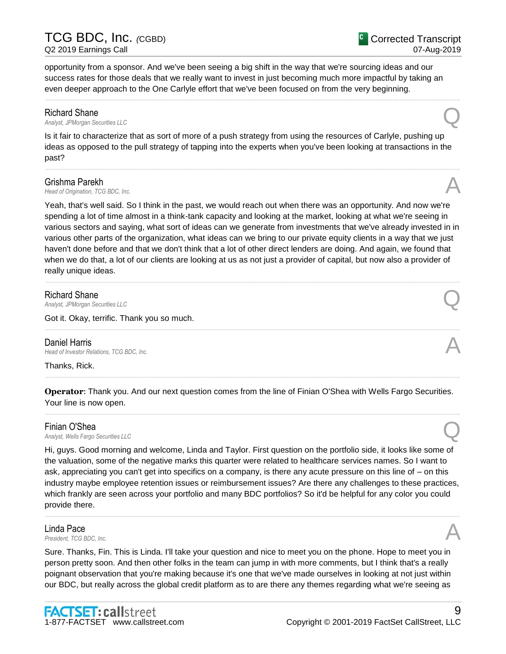9

opportunity from a sponsor. And we've been seeing a big shift in the way that we're sourcing ideas and our success rates for those deals that we really want to invest in just becoming much more impactful by taking an even deeper approach to the One Carlyle effort that we've been focused on from the very beginning.

......................................................................................................................................................................................................................................................

**Richard Shane**<br>Analyst, JPMorgan Securities LLC *Analyst, JPMorgan Securities LLC* Q

Is it fair to characterize that as sort of more of a push strategy from using the resources of Carlyle, pushing up ideas as opposed to the pull strategy of tapping into the experts when you've been looking at transactions in the past?

......................................................................................................................................................................................................................................................

### Grishma Parekh

**Grishma Parekh**<br>*Head of Origination, TCG BDC, Inc.* And *Inc.* And *A* 

Yeah, that's well said. So I think in the past, we would reach out when there was an opportunity. And now we're spending a lot of time almost in a think-tank capacity and looking at the market, looking at what we're seeing in various sectors and saying, what sort of ideas can we generate from investments that we've already invested in in various other parts of the organization, what ideas can we bring to our private equity clients in a way that we just haven't done before and that we don't think that a lot of other direct lenders are doing. And again, we found that when we do that, a lot of our clients are looking at us as not just a provider of capital, but now also a provider of really unique ideas.

......................................................................................................................................................................................................................................................

......................................................................................................................................................................................................................................................

### Richard Shane

*Analyst, JPMorgan Securities LLC* Q

Got it. Okay, terrific. Thank you so much.

**Daniel Harris**<br>Head of Investor Relations. TCG BDC. Inc. **Daniel Harris**<br> *Head of Investor Relations, TCG BDC, Inc.* And the comparation of the comparation of *Investor Relations, TCG BDC, Inc.* 

Thanks, Rick.

**Operator**: Thank you. And our next question comes from the line of Finian O'Shea with Wells Fargo Securities. Your line is now open.

......................................................................................................................................................................................................................................................

......................................................................................................................................................................................................................................................

**Finian O'Shea**<br>Analyst, Wells Fargo Securities LLC *Analyst, Wells Fargo Securities LLC* Q

Hi, guys. Good morning and welcome, Linda and Taylor. First question on the portfolio side, it looks like some of the valuation, some of the negative marks this quarter were related to healthcare services names. So I want to ask, appreciating you can't get into specifics on a company, is there any acute pressure on this line of – on this industry maybe employee retention issues or reimbursement issues? Are there any challenges to these practices, which frankly are seen across your portfolio and many BDC portfolios? So it'd be helpful for any color you could provide there.

......................................................................................................................................................................................................................................................

## Linda Pace *President, TCG BDC, Inc.* A

Sure. Thanks, Fin. This is Linda. I'll take your question and nice to meet you on the phone. Hope to meet you in person pretty soon. And then other folks in the team can jump in with more comments, but I think that's a really poignant observation that you're making because it's one that we've made ourselves in looking at not just within our BDC, but really across the global credit platform as to are there any themes regarding what we're seeing as

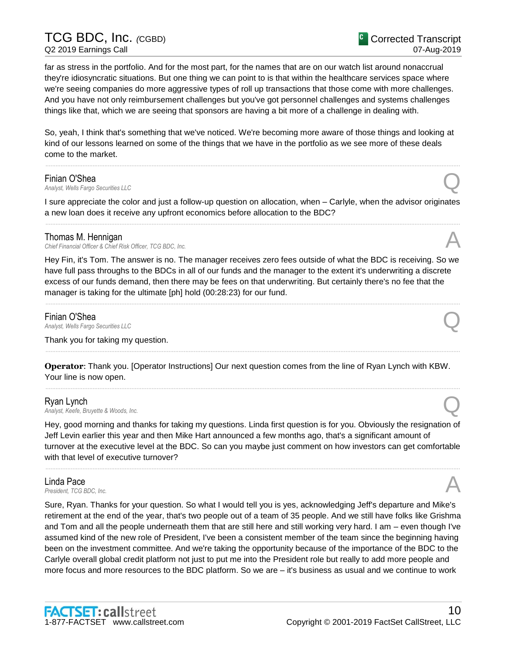# TCG BDC, Inc. *(*CGBD) Q2 2019 Earnings Call

Corrected Transcript 07-Aug-2019

far as stress in the portfolio. And for the most part, for the names that are on our watch list around nonaccrual they're idiosyncratic situations. But one thing we can point to is that within the healthcare services space where we're seeing companies do more aggressive types of roll up transactions that those come with more challenges. And you have not only reimbursement challenges but you've got personnel challenges and systems challenges things like that, which we are seeing that sponsors are having a bit more of a challenge in dealing with.

So, yeah, I think that's something that we've noticed. We're becoming more aware of those things and looking at kind of our lessons learned on some of the things that we have in the portfolio as we see more of these deals come to the market.

......................................................................................................................................................................................................................................................

#### Finian O'Shea

*Analyst, Wells Fargo Securities LLC* Q

I sure appreciate the color and just a follow-up question on allocation, when – Carlyle, when the advisor originates a new loan does it receive any upfront economics before allocation to the BDC? ......................................................................................................................................................................................................................................................

### Thomas M. Hennigan

*Chief Financial Officer & Chief Risk Officer, TCG BDC, Inc.* A

Hey Fin, it's Tom. The answer is no. The manager receives zero fees outside of what the BDC is receiving. So we have full pass throughs to the BDCs in all of our funds and the manager to the extent it's underwriting a discrete excess of our funds demand, then there may be fees on that underwriting. But certainly there's no fee that the manager is taking for the ultimate [ph] hold (00:28:23) for our fund.

......................................................................................................................................................................................................................................................

**Finian O'Shea**<br>Analyst, Wells Fargo Securities LLC *Analyst, Wells Fargo Securities LLC* Q

Thank you for taking my question.

**Operator**: Thank you. [Operator Instructions] Our next question comes from the line of Ryan Lynch with KBW. Your line is now open.

......................................................................................................................................................................................................................................................

......................................................................................................................................................................................................................................................

**Ryan Lynch**<br>Analyst, Keefe, Bruyette & Woods, Inc. *Analyst, Keefe, Bruyette & Woods, Inc.* Q

Hey, good morning and thanks for taking my questions. Linda first question is for you. Obviously the resignation of Jeff Levin earlier this year and then Mike Hart announced a few months ago, that's a significant amount of turnover at the executive level at the BDC. So can you maybe just comment on how investors can get comfortable with that level of executive turnover?

......................................................................................................................................................................................................................................................

## Linda Pace *President, TCG BDC, Inc.* A

Sure, Ryan. Thanks for your question. So what I would tell you is yes, acknowledging Jeff's departure and Mike's retirement at the end of the year, that's two people out of a team of 35 people. And we still have folks like Grishma and Tom and all the people underneath them that are still here and still working very hard. I am – even though I've assumed kind of the new role of President, I've been a consistent member of the team since the beginning having been on the investment committee. And we're taking the opportunity because of the importance of the BDC to the Carlyle overall global credit platform not just to put me into the President role but really to add more people and more focus and more resources to the BDC platform. So we are – it's business as usual and we continue to work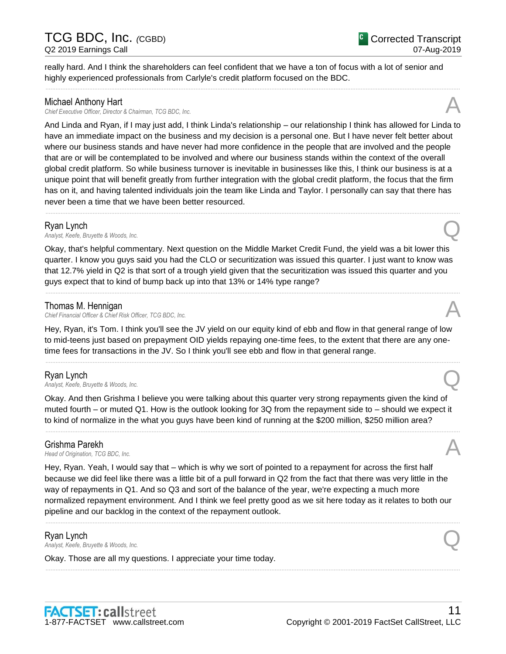# Michael Anthony Hart

*Chief Executive Officer, Director & Chairman, TCG BDC, Inc.* A

And Linda and Ryan, if I may just add, I think Linda's relationship – our relationship I think has allowed for Linda to have an immediate impact on the business and my decision is a personal one. But I have never felt better about where our business stands and have never had more confidence in the people that are involved and the people that are or will be contemplated to be involved and where our business stands within the context of the overall global credit platform. So while business turnover is inevitable in businesses like this, I think our business is at a unique point that will benefit greatly from further integration with the global credit platform, the focus that the firm has on it, and having talented individuals join the team like Linda and Taylor. I personally can say that there has never been a time that we have been better resourced.

......................................................................................................................................................................................................................................................

really hard. And I think the shareholders can feel confident that we have a ton of focus with a lot of senior and

......................................................................................................................................................................................................................................................

highly experienced professionals from Carlyle's credit platform focused on the BDC.

**Ryan Lynch**<br>Analyst, Keefe, Bruyette & Woods, Inc. *Analyst, Keefe, Bruyette & Woods, Inc.* Q

Okay, that's helpful commentary. Next question on the Middle Market Credit Fund, the yield was a bit lower this quarter. I know you guys said you had the CLO or securitization was issued this quarter. I just want to know was that 12.7% yield in Q2 is that sort of a trough yield given that the securitization was issued this quarter and you guys expect that to kind of bump back up into that 13% or 14% type range?

......................................................................................................................................................................................................................................................

### Thomas M. Hennigan

*Chief Financial Officer & Chief Risk Officer, TCG BDC, Inc.* A

Hey, Ryan, it's Tom. I think you'll see the JV yield on our equity kind of ebb and flow in that general range of low to mid-teens just based on prepayment OID yields repaying one-time fees, to the extent that there are any onetime fees for transactions in the JV. So I think you'll see ebb and flow in that general range.

......................................................................................................................................................................................................................................................

### Ryan Lynch

*Analyst, Keefe, Bruyette & Woods, Inc.* Q

Okay. And then Grishma I believe you were talking about this quarter very strong repayments given the kind of muted fourth – or muted Q1. How is the outlook looking for 3Q from the repayment side to – should we expect it to kind of normalize in the what you guys have been kind of running at the \$200 million, \$250 million area?

......................................................................................................................................................................................................................................................

Grishma Parekh<br>Head of Origination, TCG BDC, Inc. **Grishma Parekh**<br>*Head of Origination, TCG BDC, Inc.* And *Head of Origination, TCG BDC, Inc.* 

Hey, Ryan. Yeah, I would say that – which is why we sort of pointed to a repayment for across the first half because we did feel like there was a little bit of a pull forward in Q2 from the fact that there was very little in the way of repayments in Q1. And so Q3 and sort of the balance of the year, we're expecting a much more normalized repayment environment. And I think we feel pretty good as we sit here today as it relates to both our pipeline and our backlog in the context of the repayment outlook.

......................................................................................................................................................................................................................................................

......................................................................................................................................................................................................................................................

### Ryan Lynch

*Analyst, Keefe, Bruyette & Woods, Inc.* Q

Okay. Those are all my questions. I appreciate your time today.